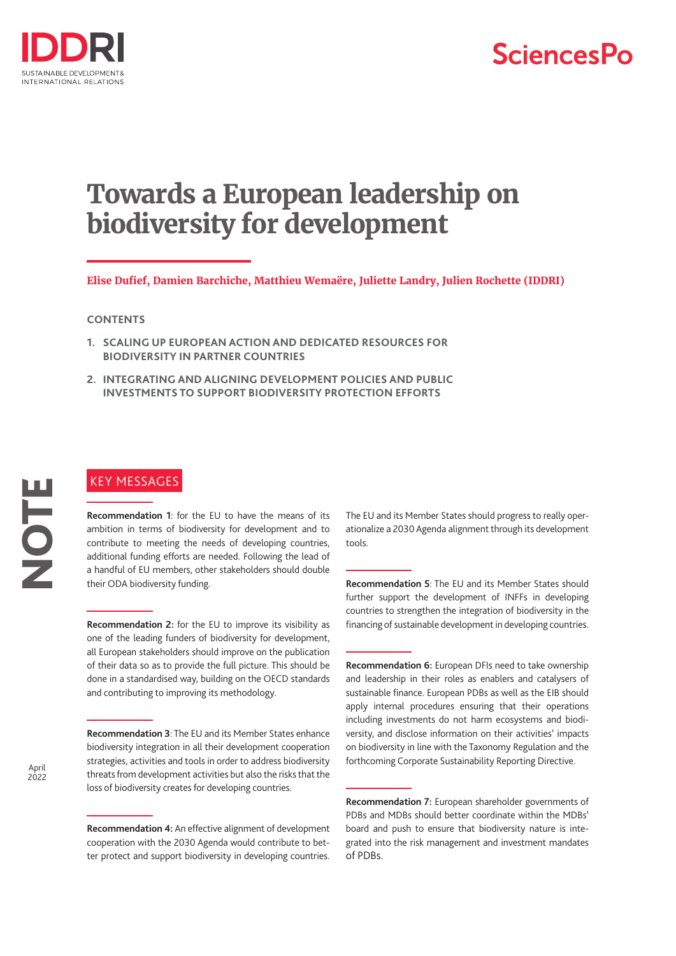

# **SciencesPo**

# **Towards a European leadership on biodiversity for development**

**Elise Dufief, Damien Barchiche, Matthieu Wemaëre, Juliette Landry, Julien Rochette (IDDRI)**

#### **CONTENTS**

- **1. [SCALING UP EUROPEAN ACTION AND DEDICATED RESOURCES FOR](#page-1-0)  [BIODIVERSITY IN PARTNER COUNTRIES](#page-1-0)**
- **2. [INTEGRATING AND ALIGNING DEVELOPMENT POLICIES AND PUBLIC](#page-3-0)  [INVESTMENTS TO SUPPORT BIODIVERSITY PROTECTION EFFORTS](#page-3-0)**

## KEY MESSAGES

**Recommendation 1**: for the EU to have the means of its ambition in terms of biodiversity for development and to contribute to meeting the needs of developing countries, additional funding efforts are needed. Following the lead of a handful of EU members, other stakeholders should double their ODA biodiversity funding.

**Recommendation 2:** for the EU to improve its visibility as one of the leading funders of biodiversity for development, all European stakeholders should improve on the publication of their data so as to provide the full picture. This should be done in a standardised way, building on the OECD standards and contributing to improving its methodology.

**Recommendation 3**: The EU and its Member States enhance biodiversity integration in all their development cooperation strategies, activities and tools in order to address biodiversity threats from development activities but also the risks that the loss of biodiversity creates for developing countries.

**Recommendation 4:** An effective alignment of development cooperation with the 2030 Agenda would contribute to better protect and support biodiversity in developing countries.

The EU and its Member States should progress to really operationalize a 2030 Agenda alignment through its development tools.

**Recommendation 5**: The EU and its Member States should further support the development of INFFs in developing countries to strengthen the integration of biodiversity in the financing of sustainable development in developing countries.

**Recommendation 6:** European DFIs need to take ownership and leadership in their roles as enablers and catalysers of sustainable finance. European PDBs as well as the EIB should apply internal procedures ensuring that their operations including investments do not harm ecosystems and biodiversity, and disclose information on their activities' impacts on biodiversity in line with the Taxonomy Regulation and the forthcoming Corporate Sustainability Reporting Directive.

NOTE

**Recommendation 7:** European shareholder governments of PDBs and MDBs should better coordinate within the MDBs' board and push to ensure that biodiversity nature is integrated into the risk management and investment mandates of PDBs.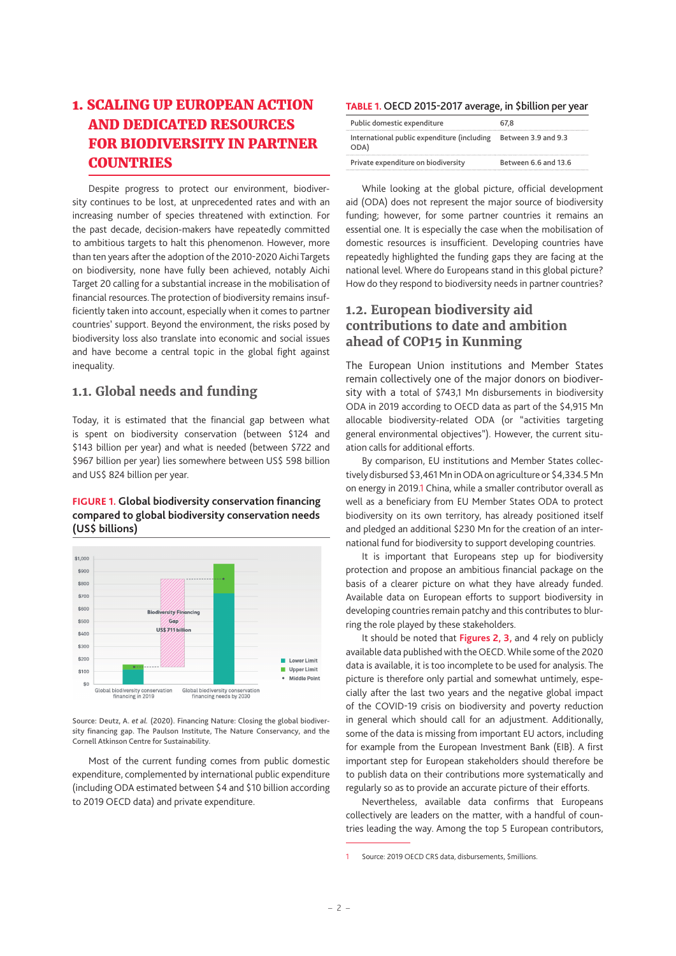## <span id="page-1-0"></span>1. SCALING UP EUROPEAN ACTION AND DEDICATED RESOURCES FOR BIODIVERSITY IN PARTNER **COUNTRIES**

Despite progress to protect our environment, biodiversity continues to be lost, at unprecedented rates and with an increasing number of species threatened with extinction. For the past decade, decision-makers have repeatedly committed to ambitious targets to halt this phenomenon. However, more than ten years after the adoption of the 2010-2020 Aichi Targets on biodiversity, none have fully been achieved, notably Aichi Target 20 calling for a substantial increase in the mobilisation of financial resources. The protection of biodiversity remains insufficiently taken into account, especially when it comes to partner countries' support. Beyond the environment, the risks posed by biodiversity loss also translate into economic and social issues and have become a central topic in the global fight against inequality.

## **1.1. Global needs and funding**

Today, it is estimated that the financial gap between what is spent on biodiversity conservation (between \$124 and \$143 billion per year) and what is needed (between \$722 and \$967 billion per year) lies somewhere between US\$ 598 billion and US\$ 824 billion per year.

#### **FIGURE 1. Global biodiversity conservation financing compared to global biodiversity conservation needs (US\$ billions)**



Source: Deutz, A. *et al.* (2020). Financing Nature: Closing the global biodiversity financing gap. The Paulson Institute, The Nature Conservancy, and the Cornell Atkinson Centre for Sustainability.

Most of the current funding comes from public domestic expenditure, complemented by international public expenditure (including ODA estimated between \$4 and \$10 billion according to 2019 OECD data) and private expenditure.

#### **TABLE 1.** OECD 2015-2017 average, in \$billion per year

| Public domestic expenditure                         | 67.8                 |
|-----------------------------------------------------|----------------------|
| International public expenditure (including<br>ODA) | Between 3.9 and 9.3  |
| Private expenditure on biodiversity                 | Between 6.6 and 13.6 |

While looking at the global picture, official development aid (ODA) does not represent the major source of biodiversity funding; however, for some partner countries it remains an essential one. It is especially the case when the mobilisation of domestic resources is insufficient. Developing countries have repeatedly highlighted the funding gaps they are facing at the national level. Where do Europeans stand in this global picture? How do they respond to biodiversity needs in partner countries?

## **1.2. European biodiversity aid contributions to date and ambition ahead of COP15 in Kunming**

The European Union institutions and Member States remain collectively one of the major donors on biodiversity with a total of \$743,1 Mn disbursements in biodiversity ODA in 2019 according to OECD data as part of the \$4,915 Mn allocable biodiversity-related ODA (or "activities targeting general environmental objectives"). However, the current situation calls for additional efforts.

By comparison, EU institutions and Member States collectively disbursed \$3,461Mn in ODA on agriculture or \$4,334.5Mn on energy in 2019.1 China, while a smaller contributor overall as well as a beneficiary from EU Member States ODA to protect biodiversity on its own territory, has already positioned itself and pledged an additional \$230 Mn for the creation of an international fund for biodiversity to support developing countries.

It is important that Europeans step up for biodiversity protection and propose an ambitious financial package on the basis of a clearer picture on what they have already funded. Available data on European efforts to support biodiversity in developing countries remain patchy and this contributes to blurring the role played by these stakeholders.

It should be noted that **Figures 2, 3,** and 4 rely on publicly available data published with the OECD. While some of the 2020 data is available, it is too incomplete to be used for analysis. The picture is therefore only partial and somewhat untimely, especially after the last two years and the negative global impact of the COVID-19 crisis on biodiversity and poverty reduction in general which should call for an adjustment. Additionally, some of the data is missing from important EU actors, including for example from the European Investment Bank (EIB). A first important step for European stakeholders should therefore be to publish data on their contributions more systematically and regularly so as to provide an accurate picture of their efforts.

Nevertheless, available data confirms that Europeans collectively are leaders on the matter, with a handful of countries leading the way. Among the top 5 European contributors,

Source: 2019 OECD CRS data, disbursements, \$millions.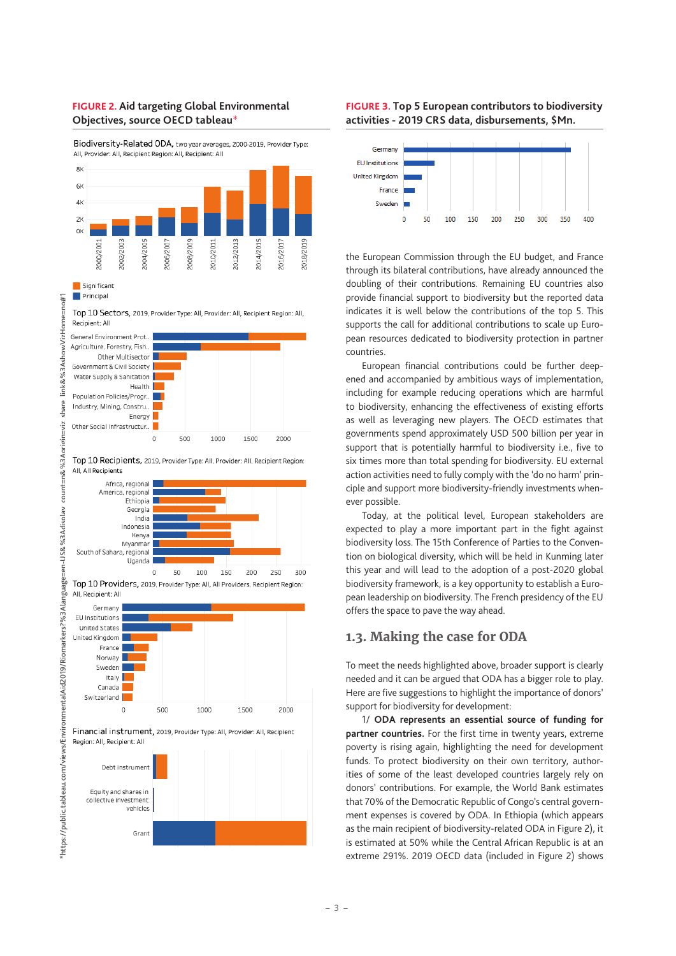#### **FIGURE 2. Aid targeting Global Environmental Objectives, source OECD tableau**\*

Biodiversity-Related ODA, two year averages, 2000-2019, Provider Type: All, Provider: All, Recipient Region: All, Recipient: All



Significant Principal

 $\pm$ 1

count=n&%3Aori

en-US&%3Adisplay

Top 10 Sectors, 2019, Provider Type: All, Provider: All, Recipient Region: All, Recipient: All



Top 10 Recipients, 2019, Provider Type: All, Provider: All, Recipient Region: All, All Recipients



Top 10 Providers, 2019, Provider Type: All, All Providers, Recipient Region: All Recinient: All



Grant

#### **FIGURE 3. Top 5 European contributors to biodiversity activities - 2019 CRS data, disbursements, \$Mn.**



the European Commission through the EU budget, and France through its bilateral contributions, have already announced the doubling of their contributions. Remaining EU countries also provide financial support to biodiversity but the reported data indicates it is well below the contributions of the top 5. This supports the call for additional contributions to scale up European resources dedicated to biodiversity protection in partner countries.

European financial contributions could be further deepened and accompanied by ambitious ways of implementation, including for example reducing operations which are harmful to biodiversity, enhancing the effectiveness of existing efforts as well as leveraging new players. The OECD estimates that governments spend approximately USD 500 billion per year in support that is potentially harmful to biodiversity i.e., five to six times more than total spending for biodiversity. EU external action activities need to fully comply with the 'do no harm' principle and support more biodiversity-friendly investments whenever possible.

Today, at the political level, European stakeholders are expected to play a more important part in the fight against biodiversity loss. The 15th Conference of Parties to the Convention on biological diversity, which will be held in Kunming later this year and will lead to the adoption of a post-2020 global biodiversity framework, is a key opportunity to establish a European leadership on biodiversity. The French presidency of the EU offers the space to pave the way ahead.

## **1.3. Making the case for ODA**

To meet the needs highlighted above, broader support is clearly needed and it can be argued that ODA has a bigger role to play. Here are five suggestions to highlight the importance of donors' support for biodiversity for development:

1/ **ODA represents an essential source of funding for partner countries.** For the first time in twenty years, extreme poverty is rising again, highlighting the need for development funds. To protect biodiversity on their own territory, authorities of some of the least developed countries largely rely on donors' contributions. For example, the World Bank estimates that 70% of the Democratic Republic of Congo's central government expenses is covered by ODA. In Ethiopia (which appears as the main recipient of biodiversity-related ODA in Figure 2), it is estimated at 50% while the Central African Republic is at an extreme 291%. 2019 OECD data (included in Figure 2) shows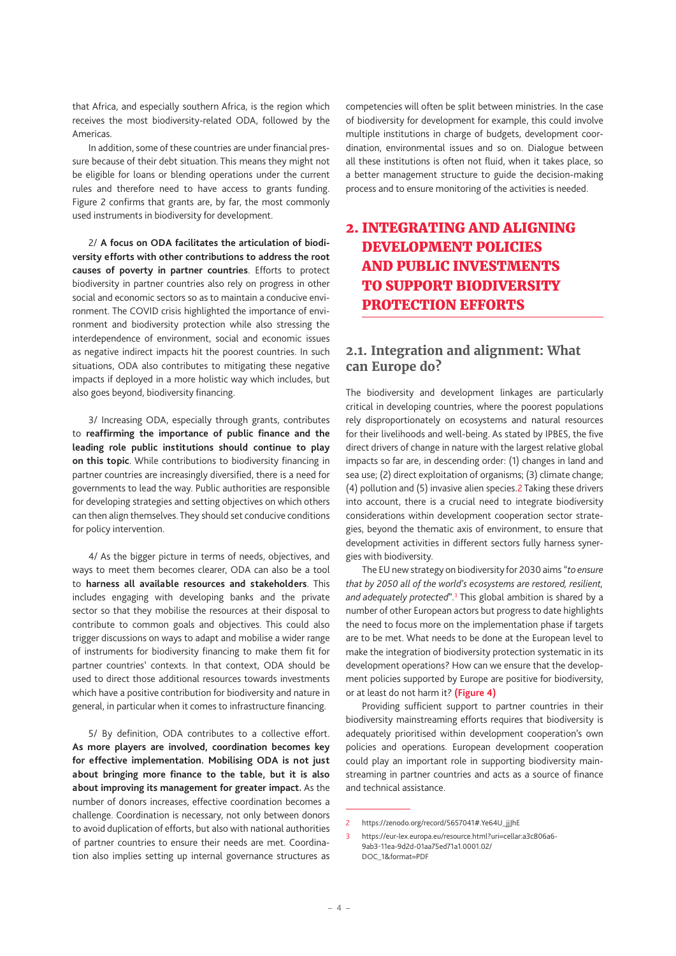<span id="page-3-0"></span>that Africa, and especially southern Africa, is the region which receives the most biodiversity-related ODA, followed by the Americas.

In addition, some of these countries are under financial pressure because of their debt situation. This means they might not be eligible for loans or blending operations under the current rules and therefore need to have access to grants funding. Figure 2 confirms that grants are, by far, the most commonly used instruments in biodiversity for development.

2/ **A focus on ODA facilitates the articulation of biodiversity efforts with other contributions to address the root causes of poverty in partner countries**. Efforts to protect biodiversity in partner countries also rely on progress in other social and economic sectors so as to maintain a conducive environment. The COVID crisis highlighted the importance of environment and biodiversity protection while also stressing the interdependence of environment, social and economic issues as negative indirect impacts hit the poorest countries. In such situations, ODA also contributes to mitigating these negative impacts if deployed in a more holistic way which includes, but also goes beyond, biodiversity financing.

3/ Increasing ODA, especially through grants, contributes to **reaffirming the importance of public finance and the leading role public institutions should continue to play on this topic**. While contributions to biodiversity financing in partner countries are increasingly diversified, there is a need for governments to lead the way. Public authorities are responsible for developing strategies and setting objectives on which others can then align themselves. They should set conducive conditions for policy intervention.

4/ As the bigger picture in terms of needs, objectives, and ways to meet them becomes clearer, ODA can also be a tool to **harness all available resources and stakeholders**. This includes engaging with developing banks and the private sector so that they mobilise the resources at their disposal to contribute to common goals and objectives. This could also trigger discussions on ways to adapt and mobilise a wider range of instruments for biodiversity financing to make them fit for partner countries' contexts. In that context, ODA should be used to direct those additional resources towards investments which have a positive contribution for biodiversity and nature in general, in particular when it comes to infrastructure financing.

5/ By definition, ODA contributes to a collective effort. **As more players are involved, coordination becomes key for effective implementation. Mobilising ODA is not just about bringing more finance to the table, but it is also about improving its management for greater impact.** As the number of donors increases, effective coordination becomes a challenge. Coordination is necessary, not only between donors to avoid duplication of efforts, but also with national authorities of partner countries to ensure their needs are met. Coordination also implies setting up internal governance structures as competencies will often be split between ministries. In the case of biodiversity for development for example, this could involve multiple institutions in charge of budgets, development coordination, environmental issues and so on. Dialogue between all these institutions is often not fluid, when it takes place, so a better management structure to guide the decision-making process and to ensure monitoring of the activities is needed.

## 2. INTEGRATING AND ALIGNING DEVELOPMENT POLICIES AND PUBLIC INVESTMENTS TO SUPPORT BIODIVERSITY PROTECTION EFFORTS

### **2.1. Integration and alignment: What can Europe do?**

The biodiversity and development linkages are particularly critical in developing countries, where the poorest populations rely disproportionately on ecosystems and natural resources for their livelihoods and well-being. As stated by IPBES, the five direct drivers of change in nature with the largest relative global impacts so far are, in descending order: (1) changes in land and sea use; (2) direct exploitation of organisms; (3) climate change; (4) pollution and (5) invasive alien species.2 Taking these drivers into account, there is a crucial need to integrate biodiversity considerations within development cooperation sector strategies, beyond the thematic axis of environment, to ensure that development activities in different sectors fully harness synergies with biodiversity.

The EU new strategy on biodiversity for 2030 aims "*to ensure that by 2050 all of the world's ecosystems are restored, resilient,*  and adequately protected".<sup>3</sup> This global ambition is shared by a number of other European actors but progress to date highlights the need to focus more on the implementation phase if targets are to be met. What needs to be done at the European level to make the integration of biodiversity protection systematic in its development operations? How can we ensure that the development policies supported by Europe are positive for biodiversity, or at least do not harm it? **(Figure 4)**

Providing sufficient support to partner countries in their biodiversity mainstreaming efforts requires that biodiversity is adequately prioritised within development cooperation's own policies and operations. European development cooperation could play an important role in supporting biodiversity mainstreaming in partner countries and acts as a source of finance and technical assistance.

<sup>2</sup> https://zenodo.org/record/5657041#.Ye64U\_jjJhE

<sup>3</sup> [https://eur-lex.europa.eu/resource.html?uri=cellar:a3c806a6-](https://eur-lex.europa.eu/resource.html?uri=cellar:a3c806a6-9ab3-11ea-9d2d-01aa75ed71a1.0001.02/DOC_1&format=PDF) [9ab3-11ea-9d2d-01aa75ed71a1.0001.02/](https://eur-lex.europa.eu/resource.html?uri=cellar:a3c806a6-9ab3-11ea-9d2d-01aa75ed71a1.0001.02/DOC_1&format=PDF) [DOC\\_1&format=PDF](https://eur-lex.europa.eu/resource.html?uri=cellar:a3c806a6-9ab3-11ea-9d2d-01aa75ed71a1.0001.02/DOC_1&format=PDF)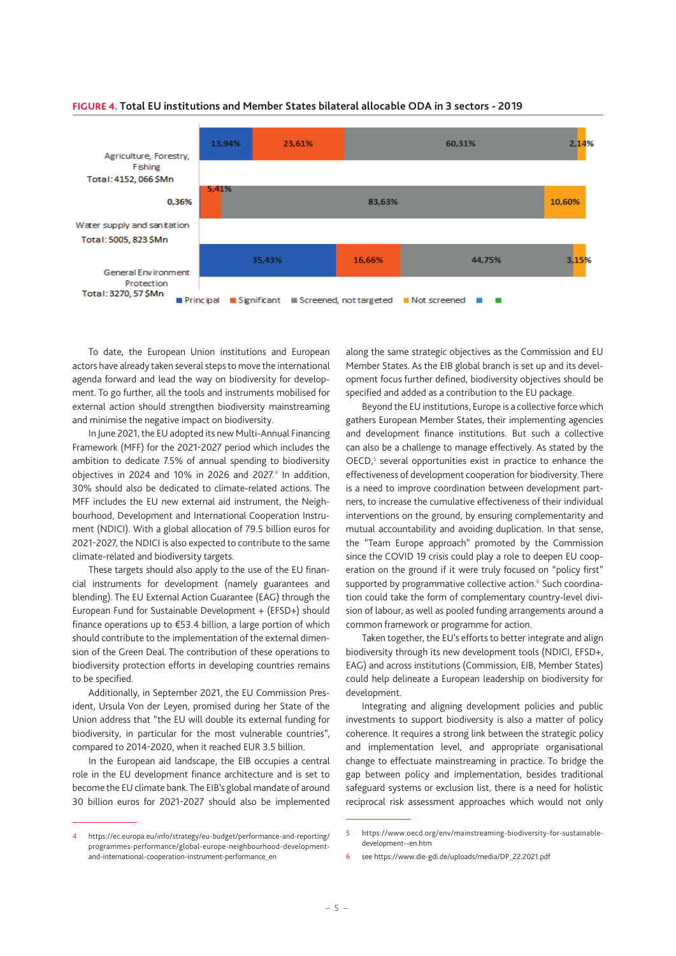

#### **FIGURE 4. Total EU institutions and Member States bilateral allocable ODA in 3 sectors - 2019**

To date, the European Union institutions and European actors have already taken several steps to move the international agenda forward and lead the way on biodiversity for development. To go further, all the tools and instruments mobilised for external action should strengthen biodiversity mainstreaming and minimise the negative impact on biodiversity.

In June 2021, the EU adopted its new Multi-Annual Financing Framework (MFF) for the 2021-2027 period which includes the ambition to dedicate 7.5% of annual spending to biodiversity objectives in 2024 and 10% in 2026 and 2027. $4$  In addition, 30% should also be dedicated to climate-related actions. The MFF includes the EU new external aid instrument, the Neighbourhood, Development and International Cooperation Instrument (NDICI). With a global allocation of 79.5 billion euros for 2021-2027, the NDICI is also expected to contribute to the same climate-related and biodiversity targets.

These targets should also apply to the use of the EU financial instruments for development (namely guarantees and blending). The EU External Action Guarantee (EAG) through the European Fund for Sustainable Development + (EFSD+) should finance operations up to €53.4 billion, a large portion of which should contribute to the implementation of the external dimension of the Green Deal. The contribution of these operations to biodiversity protection efforts in developing countries remains to be specified.

Additionally, in September 2021, the EU Commission President, Ursula Von der Leyen, promised during her State of the Union address that "the EU will double its external funding for biodiversity, in particular for the most vulnerable countries", compared to 2014-2020, when it reached EUR 3.5 billion.

In the European aid landscape, the EIB occupies a central role in the EU development finance architecture and is set to become the EU climate bank. The EIB's global mandate of around 30 billion euros for 2021-2027 should also be implemented

4 [https://ec.europa.eu/info/strategy/eu-budget/performance-and-reporting/](https://ec.europa.eu/info/strategy/eu-budget/performance-and-reporting/programmes-performance/global-europe-neighbourhood-development-and-international-cooperation-instrument-performance_en) [programmes-performance/global-europe-neighbourhood-development](https://ec.europa.eu/info/strategy/eu-budget/performance-and-reporting/programmes-performance/global-europe-neighbourhood-development-and-international-cooperation-instrument-performance_en)[and-international-cooperation-instrument-performance\\_en](https://ec.europa.eu/info/strategy/eu-budget/performance-and-reporting/programmes-performance/global-europe-neighbourhood-development-and-international-cooperation-instrument-performance_en) 

along the same strategic objectives as the Commission and EU Member States. As the EIB global branch is set up and its development focus further defined, biodiversity objectives should be specified and added as a contribution to the EU package.

Beyond the EU institutions, Europe is a collective force which gathers European Member States, their implementing agencies and development finance institutions. But such a collective can also be a challenge to manage effectively. As stated by the  $OECD$ ,<sup>5</sup> several opportunities exist in practice to enhance the effectiveness of development cooperation for biodiversity. There is a need to improve coordination between development partners, to increase the cumulative effectiveness of their individual interventions on the ground, by ensuring complementarity and mutual accountability and avoiding duplication. In that sense, the "Team Europe approach" promoted by the Commission since the COVID 19 crisis could play a role to deepen EU cooperation on the ground if it were truly focused on "policy first" supported by programmative collective action.<sup>6</sup> Such coordination could take the form of complementary country-level division of labour, as well as pooled funding arrangements around a common framework or programme for action.

Taken together, the EU's efforts to better integrate and align biodiversity through its new development tools (NDICI, EFSD+, EAG) and across institutions (Commission, EIB, Member States) could help delineate a European leadership on biodiversity for development.

Integrating and aligning development policies and public investments to support biodiversity is also a matter of policy coherence. It requires a strong link between the strategic policy and implementation level, and appropriate organisational change to effectuate mainstreaming in practice. To bridge the gap between policy and implementation, besides traditional safeguard systems or exclusion list, there is a need for holistic reciprocal risk assessment approaches which would not only

<sup>5</sup> [https://www.oecd.org/env/mainstreaming-biodiversity-for-sustainable](https://www.oecd.org/env/mainstreaming-biodiversity-for-sustainable-development--en.htm)[development--en.htm](https://www.oecd.org/env/mainstreaming-biodiversity-for-sustainable-development--en.htm)

see https://www.die-gdi.de/uploads/media/DP\_22.2021.pdf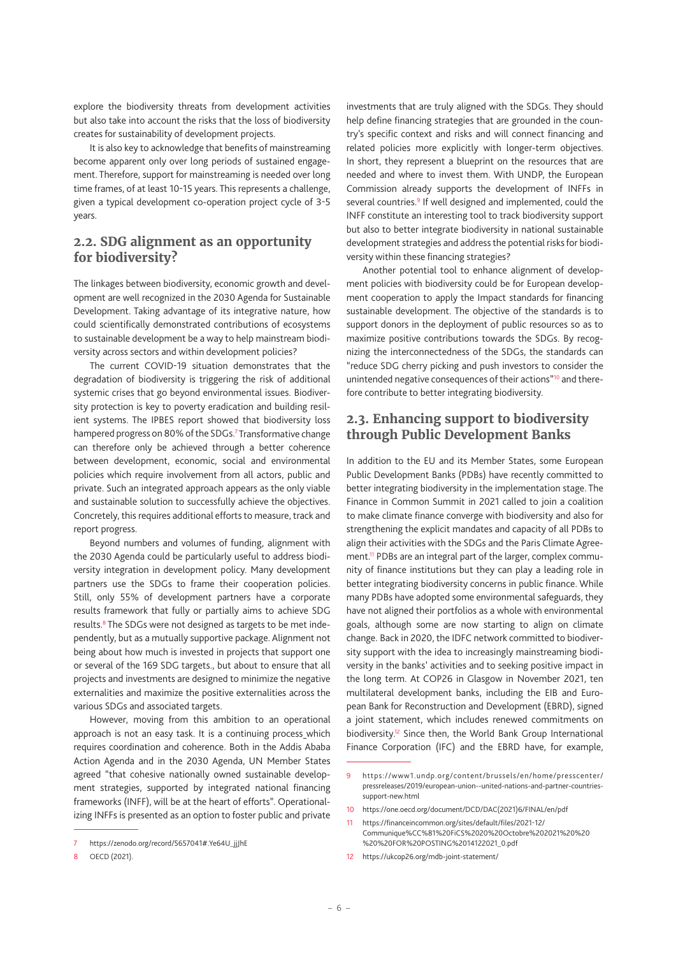explore the biodiversity threats from development activities but also take into account the risks that the loss of biodiversity creates for sustainability of development projects.

It is also key to acknowledge that benefits of mainstreaming become apparent only over long periods of sustained engagement. Therefore, support for mainstreaming is needed over long time frames, of at least 10-15 years. This represents a challenge, given a typical development co-operation project cycle of 3-5 years.

## **2.2. SDG alignment as an opportunity for biodiversity?**

The linkages between biodiversity, economic growth and development are well recognized in the 2030 Agenda for Sustainable Development. Taking advantage of its integrative nature, how could scientifically demonstrated contributions of ecosystems to sustainable development be a way to help mainstream biodiversity across sectors and within development policies?

The current COVID-19 situation demonstrates that the degradation of biodiversity is triggering the risk of additional systemic crises that go beyond environmental issues. Biodiversity protection is key to poverty eradication and building resilient systems. The IPBES report showed that biodiversity loss hampered progress on 80% of the SDGs.<sup>7</sup> Transformative change can therefore only be achieved through a better coherence between development, economic, social and environmental policies which require involvement from all actors, public and private. Such an integrated approach appears as the only viable and sustainable solution to successfully achieve the objectives. Concretely, this requires additional efforts to measure, track and report progress.

Beyond numbers and volumes of funding, alignment with the 2030 Agenda could be particularly useful to address biodiversity integration in development policy. Many development partners use the SDGs to frame their cooperation policies. Still, only 55% of development partners have a corporate results framework that fully or partially aims to achieve SDG results.<sup>8</sup> The SDGs were not designed as targets to be met independently, but as a mutually supportive package. Alignment not being about how much is invested in projects that support one or several of the 169 SDG targets., but about to ensure that all projects and investments are designed to minimize the negative externalities and maximize the positive externalities across the various SDGs and associated targets.

However, moving from this ambition to an operational approach is not an easy task. It is a continuing process\_which requires coordination and coherence. Both in the Addis Ababa Action Agenda and in the 2030 Agenda, UN Member States agreed "that cohesive nationally owned sustainable development strategies, supported by integrated national financing frameworks (INFF), will be at the heart of efforts". Operationalizing INFFs is presented as an option to foster public and private

investments that are truly aligned with the SDGs. They should help define financing strategies that are grounded in the country's specific context and risks and will connect financing and related policies more explicitly with longer-term objectives. In short, they represent a blueprint on the resources that are needed and where to invest them. With UNDP, the European Commission already supports the development of INFFs in several countries.<sup>9</sup> If well designed and implemented, could the INFF constitute an interesting tool to track biodiversity support but also to better integrate biodiversity in national sustainable development strategies and address the potential risks for biodiversity within these financing strategies?

Another potential tool to enhance alignment of development policies with biodiversity could be for European development cooperation to apply the Impact standards for financing sustainable development. The objective of the standards is to support donors in the deployment of public resources so as to maximize positive contributions towards the SDGs. By recognizing the interconnectedness of the SDGs, the standards can "reduce SDG cherry picking and push investors to consider the unintended negative consequences of their actions"<sup>10</sup> and therefore contribute to better integrating biodiversity.

### **2.3. Enhancing support to biodiversity through Public Development Banks**

In addition to the EU and its Member States, some European Public Development Banks (PDBs) have recently committed to better integrating biodiversity in the implementation stage. The Finance in Common Summit in 2021 called to join a coalition to make climate finance converge with biodiversity and also for strengthening the explicit mandates and capacity of all PDBs to align their activities with the SDGs and the Paris Climate Agreement.<sup>11</sup> PDBs are an integral part of the larger, complex community of finance institutions but they can play a leading role in better integrating biodiversity concerns in public finance. While many PDBs have adopted some environmental safeguards, they have not aligned their portfolios as a whole with environmental goals, although some are now starting to align on climate change. Back in 2020, the IDFC network committed to biodiversity support with the idea to increasingly mainstreaming biodiversity in the banks' activities and to seeking positive impact in the long term. At COP26 in Glasgow in November 2021, ten multilateral development banks, including the EIB and European Bank for Reconstruction and Development (EBRD), signed a joint statement, which includes renewed commitments on biodiversity.<sup>12</sup> Since then, the World Bank Group International Finance Corporation (IFC) and the EBRD have, for example,

12 <https://ukcop26.org/mdb-joint-statement/>

https://zenodo.org/record/5657041#.Ye64U\_jjJhE

<sup>8</sup> OECD (2021).

<sup>9</sup> [https://www1.undp.org/content/brussels/en/home/presscenter/](https://www1.undp.org/content/brussels/en/home/presscenter/pressreleases/2019/european-union--united-nations-and-partner-countries-support-new.html) [pressreleases/2019/european-union--united-nations-and-partner-countries](https://www1.undp.org/content/brussels/en/home/presscenter/pressreleases/2019/european-union--united-nations-and-partner-countries-support-new.html)[support-new.html](https://www1.undp.org/content/brussels/en/home/presscenter/pressreleases/2019/european-union--united-nations-and-partner-countries-support-new.html) 

<sup>10</sup> [https://one.oecd.org/document/DCD/DAC\(2021\)6/FINAL/en/pdf](https://one.oecd.org/document/DCD/DAC(2021)6/FINAL/en/pdf)

<sup>11</sup> [https://financeincommon.org/sites/default/files/2021-12/](https://financeincommon.org/sites/default/files/2021-12/Communique%CC%81%20FiCS%2020%20Octobre%202021%20%20%20%20FOR%20POSTING%2014122021_0.pdf)

[Communique%CC%81%20FiCS%2020%20Octobre%202021%20%20](https://financeincommon.org/sites/default/files/2021-12/Communique%CC%81%20FiCS%2020%20Octobre%202021%20%20%20%20FOR%20POSTING%2014122021_0.pdf) [%20%20FOR%20POSTING%2014122021\\_0.pdf](https://financeincommon.org/sites/default/files/2021-12/Communique%CC%81%20FiCS%2020%20Octobre%202021%20%20%20%20FOR%20POSTING%2014122021_0.pdf)